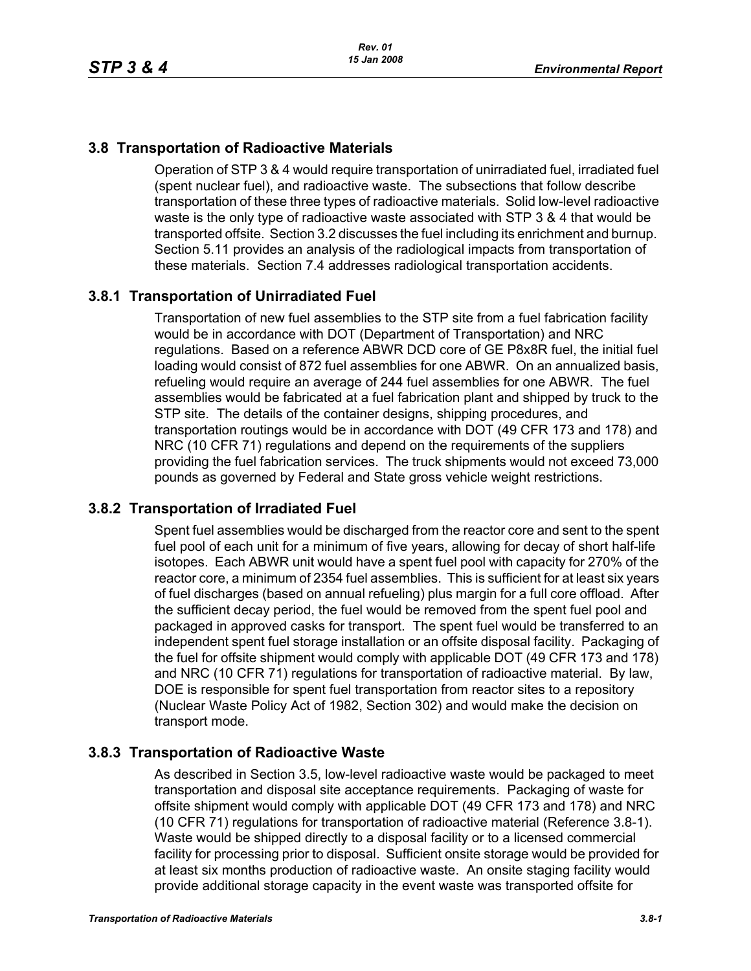# **3.8 Transportation of Radioactive Materials**

Operation of STP 3 & 4 would require transportation of unirradiated fuel, irradiated fuel (spent nuclear fuel), and radioactive waste. The subsections that follow describe transportation of these three types of radioactive materials. Solid low-level radioactive waste is the only type of radioactive waste associated with STP 3 & 4 that would be transported offsite. Section 3.2 discusses the fuel including its enrichment and burnup. Section 5.11 provides an analysis of the radiological impacts from transportation of these materials. Section 7.4 addresses radiological transportation accidents.

# **3.8.1 Transportation of Unirradiated Fuel**

Transportation of new fuel assemblies to the STP site from a fuel fabrication facility would be in accordance with DOT (Department of Transportation) and NRC regulations. Based on a reference ABWR DCD core of GE P8x8R fuel, the initial fuel loading would consist of 872 fuel assemblies for one ABWR. On an annualized basis, refueling would require an average of 244 fuel assemblies for one ABWR. The fuel assemblies would be fabricated at a fuel fabrication plant and shipped by truck to the STP site. The details of the container designs, shipping procedures, and transportation routings would be in accordance with DOT (49 CFR 173 and 178) and NRC (10 CFR 71) regulations and depend on the requirements of the suppliers providing the fuel fabrication services. The truck shipments would not exceed 73,000 pounds as governed by Federal and State gross vehicle weight restrictions.

## **3.8.2 Transportation of Irradiated Fuel**

Spent fuel assemblies would be discharged from the reactor core and sent to the spent fuel pool of each unit for a minimum of five years, allowing for decay of short half-life isotopes. Each ABWR unit would have a spent fuel pool with capacity for 270% of the reactor core, a minimum of 2354 fuel assemblies. This is sufficient for at least six years of fuel discharges (based on annual refueling) plus margin for a full core offload. After the sufficient decay period, the fuel would be removed from the spent fuel pool and packaged in approved casks for transport. The spent fuel would be transferred to an independent spent fuel storage installation or an offsite disposal facility. Packaging of the fuel for offsite shipment would comply with applicable DOT (49 CFR 173 and 178) and NRC (10 CFR 71) regulations for transportation of radioactive material. By law, DOE is responsible for spent fuel transportation from reactor sites to a repository (Nuclear Waste Policy Act of 1982, Section 302) and would make the decision on transport mode.

## **3.8.3 Transportation of Radioactive Waste**

As described in Section 3.5, low-level radioactive waste would be packaged to meet transportation and disposal site acceptance requirements. Packaging of waste for offsite shipment would comply with applicable DOT (49 CFR 173 and 178) and NRC (10 CFR 71) regulations for transportation of radioactive material (Reference 3.8-1). Waste would be shipped directly to a disposal facility or to a licensed commercial facility for processing prior to disposal. Sufficient onsite storage would be provided for at least six months production of radioactive waste. An onsite staging facility would provide additional storage capacity in the event waste was transported offsite for